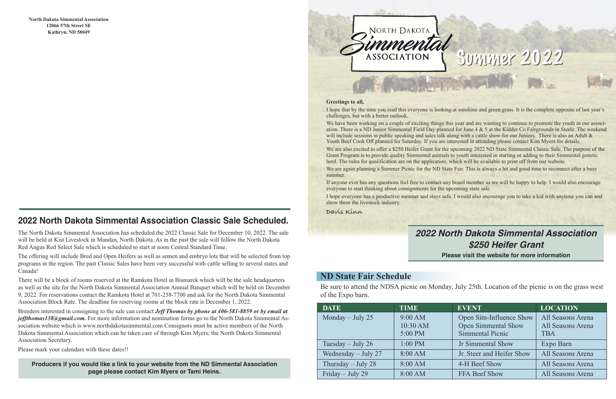#### **Greetings to all,**

I hope that by the time you read this everyone is looking at sunshine and green grass. It is the complete opposite of last year's challenges, but with a better outlook.

We have been working on a couple of exciting things this year and are wanting to continue to promote the youth in our association. There is a ND Junior Simmental Field Day planned for June 4 & 5 at the Kidder Co Fairgrounds in Steele. The weekend will include sessions in public speaking and sales talk along with a cattle show for our Juniors. There is also an Adult & Youth Beef Cook Off planned for Saturday. If you are interested in attending please contact Kim Myers for details.

We are also excited to offer a \$250 Heifer Grant for the upcoming 2022 ND State Simmental Classic Sale. The purpose of the Grant Program is to provide quality Simmental animals to youth interested in starting or adding to their Simmental genetic herd. The rules for qualification are on the application, which will be available to print off from our website.

We are again planning a Summer Picnic for the ND State Fair. This is always a hit and good time to reconnect after a busy summer.

If anyone ever has any questions feel free to contact any board member as we will be happy to help. I would also encourage everyone to start thinking about consignments for the upcoming state sale.

I hope everyone has a productive summer and stays safe. I would also encourage you to take a kid with anytime you can and

show them the livestock industry.

**Davis Kinn**

#### **ND State Fair Schedule**

Be sure to attend the NDSA picnic on Monday, July 25th. Location of the picnic is on the grass west of the Expo barn.

### **2022 North Dakota Simmental Association Classic Sale Scheduled.**

The North Dakota Simmental Association has scheduled the 2022 Classic Sale for December 10, 2022. The sale will be held at Kist Livestock in Mandan, North Dakota. As in the past the sale will follow the North Dakota Red Angus Red Select Sale which is scheduled to start at noon Central Standard Time.

The offering will include Bred and Open Heifers as well as semen and embryo lots that will be selected from top programs in the region. The past Classic Sales have been very successful with cattle selling to several states and Canada!

There will be a block of rooms reserved at the Ramkota Hotel in Bismarck which will be the sale headquarters as well as the site for the North Dakota Simmental Association Annual Banquet which will be held on December 9, 2022. For reservations contact the Ramkota Hotel at 701-258-7700 and ask for the North Dakota Simmental Association Block Rate. The deadline for reserving rooms at the block rate is December 1, 2022.

Breeders interested in consigning to the sale can contact *Jeff Thomas by phone at 406-581-8859 or by email at jeffthomas138@gmail.com.* For more information and nomination forms go to the North Dakota Simmental Association website which is www.northdakotasimmental.com Consignors must be active members of the North Dakota Simmental Association which can be taken care of through Kim Myers; the North Dakota Simmental Association Secretary.

Please mark your calendars with these dates!!

**North Dakota Simmental Association 12066 57th Street SE Kathryn, ND 58049**

**Producers if you would like a link to your website from the ND Simmental Association page please contact Kim Myers or Tami Heins.**

# NORTH DAKOTA **ASSOCIATION**

| <b>DATE</b>           | <b>TIME</b> | <b>EVENT</b>               | <b>LOCATION</b>   |
|-----------------------|-------------|----------------------------|-------------------|
| Monday $-$ July 25    | 9:00 AM     | Open Sim-Influence Show    | All Seasons Arena |
|                       | 10:30 AM    | <b>Open Simmental Show</b> | All Seasons Arena |
|                       | 5:00 PM     | <b>Simmental Picnic</b>    | <b>TBA</b>        |
| Tuesday $-$ July 26   | $1:00$ PM   | <b>Jr Simmental Show</b>   | Expo Barn         |
| Wednesday $-$ July 27 | 8:00 AM     | Jr. Steer and Heifer Show  | All Seasons Arena |
| Thursday $-$ July 28  | 8:00 AM     | 4-H Beef Show              | All Seasons Arena |
| Friday – July 29      | 8:00 AM     | FFA Beef Show              | All Seasons Arena |

# Sunnuer 2022

## *2022 North Dakota Simmental Association \$250 Heifer Grant*

**Please visit the website for more information**